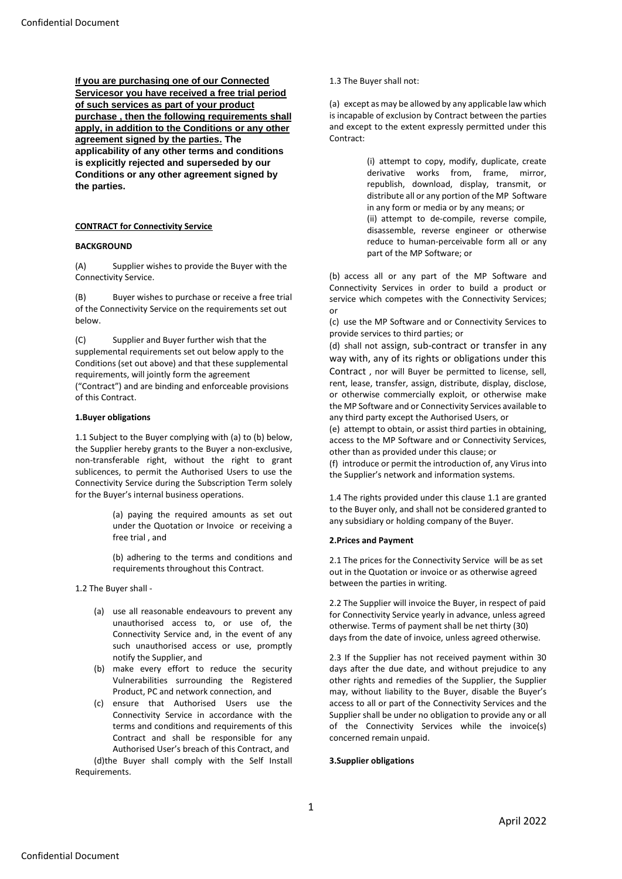**If you are purchasing one of our Connected Servicesor you have received a free trial period of such services as part of your product purchase , then the following requirements shall apply, in addition to the Conditions or any other agreement signed by the parties. The applicability of any other terms and conditions is explicitly rejected and superseded by our Conditions or any other agreement signed by the parties.**

## **CONTRACT for Connectivity Service**

## **BACKGROUND**

(A) Supplier wishes to provide the Buyer with the Connectivity Service.

(B) Buyer wishes to purchase or receive a free trial of the Connectivity Service on the requirements set out below.

(C) Supplier and Buyer further wish that the supplemental requirements set out below apply to the Conditions (set out above) and that these supplemental requirements, will jointly form the agreement ("Contract") and are binding and enforceable provisions of this Contract.

#### **1.Buyer obligations**

1.1 Subject to the Buyer complying with (a) to (b) below, the Supplier hereby grants to the Buyer a non-exclusive, non-transferable right, without the right to grant sublicences, to permit the Authorised Users to use the Connectivity Service during the Subscription Term solely for the Buyer's internal business operations.

> (a) paying the required amounts as set out under the Quotation or Invoice or receiving a free trial , and

(b) adhering to the terms and conditions and requirements throughout this Contract.

1.2 The Buyer shall -

- (a) use all reasonable endeavours to prevent any unauthorised access to, or use of, the Connectivity Service and, in the event of any such unauthorised access or use, promptly notify the Supplier, and
- (b) make every effort to reduce the security Vulnerabilities surrounding the Registered Product, PC and network connection, and
- (c) ensure that Authorised Users use the Connectivity Service in accordance with the terms and conditions and requirements of this Contract and shall be responsible for any Authorised User's breach of this Contract, and

(d)the Buyer shall comply with the Self Install Requirements.

1.3 The Buyer shall not:

(a) except as may be allowed by any applicable law which is incapable of exclusion by Contract between the parties and except to the extent expressly permitted under this Contract:

> (i) attempt to copy, modify, duplicate, create derivative works from, frame, mirror, republish, download, display, transmit, or distribute all or any portion of the MP Software in any form or media or by any means; or (ii) attempt to de-compile, reverse compile, disassemble, reverse engineer or otherwise reduce to human-perceivable form all or any part of the MP Software; or

(b) access all or any part of the MP Software and Connectivity Services in order to build a product or service which competes with the Connectivity Services; or

(c) use the MP Software and or Connectivity Services to provide services to third parties; or

(d) shall not assign, sub-contract or transfer in any way with, any of its rights or obligations under this Contract , nor will Buyer be permitted to license, sell, rent, lease, transfer, assign, distribute, display, disclose, or otherwise commercially exploit, or otherwise make the MP Software and or Connectivity Services available to any third party except the Authorised Users, or

(e) attempt to obtain, or assist third parties in obtaining, access to the MP Software and or Connectivity Services, other than as provided under this clause; or

(f) introduce or permit the introduction of, any Virus into the Supplier's network and information systems.

1.4 The rights provided under this clause 1.1 are granted to the Buyer only, and shall not be considered granted to any subsidiary or holding company of the Buyer.

## **2.Prices and Payment**

2.1 The prices for the Connectivity Service will be as set out in the Quotation or invoice or as otherwise agreed between the parties in writing.

2.2 The Supplier will invoice the Buyer, in respect of paid for Connectivity Service yearly in advance, unless agreed otherwise. Terms of payment shall be net thirty (30) days from the date of invoice, unless agreed otherwise.

2.3 If the Supplier has not received payment within 30 days after the due date, and without prejudice to any other rights and remedies of the Supplier, the Supplier may, without liability to the Buyer, disable the Buyer's access to all or part of the Connectivity Services and the Supplier shall be under no obligation to provide any or all of the Connectivity Services while the invoice(s) concerned remain unpaid.

## **3.Supplier obligations**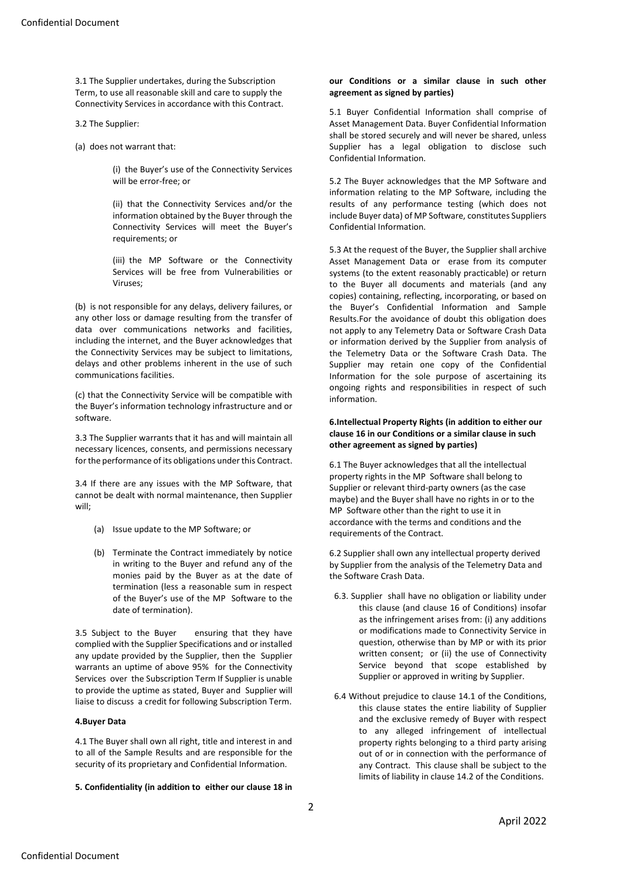3.1 The Supplier undertakes, during the Subscription Term, to use all reasonable skill and care to supply the Connectivity Services in accordance with this Contract.

3.2 The Supplier:

(a) does not warrant that:

(i) the Buyer's use of the Connectivity Services will be error-free; or

(ii) that the Connectivity Services and/or the information obtained by the Buyer through the Connectivity Services will meet the Buyer's requirements; or

(iii) the MP Software or the Connectivity Services will be free from Vulnerabilities or Viruses;

(b) is not responsible for any delays, delivery failures, or any other loss or damage resulting from the transfer of data over communications networks and facilities, including the internet, and the Buyer acknowledges that the Connectivity Services may be subject to limitations, delays and other problems inherent in the use of such communications facilities.

(c) that the Connectivity Service will be compatible with the Buyer's information technology infrastructure and or software.

3.3 The Supplier warrants that it has and will maintain all necessary licences, consents, and permissions necessary for the performance of its obligations under this Contract.

3.4 If there are any issues with the MP Software, that cannot be dealt with normal maintenance, then Supplier will;

- (a) Issue update to the MP Software; or
- (b) Terminate the Contract immediately by notice in writing to the Buyer and refund any of the monies paid by the Buyer as at the date of termination (less a reasonable sum in respect of the Buyer's use of the MP Software to the date of termination).

3.5 Subject to the Buyer ensuring that they have complied with the Supplier Specifications and or installed any update provided by the Supplier, then the Supplier warrants an uptime of above 95% for the Connectivity Services over the Subscription Term If Supplier is unable to provide the uptime as stated, Buyer and Supplier will liaise to discuss a credit for following Subscription Term.

## **4.Buyer Data**

4.1 The Buyer shall own all right, title and interest in and to all of the Sample Results and are responsible for the security of its proprietary and Confidential Information.

**5. Confidentiality (in addition to either our clause 18 in** 

#### **our Conditions or a similar clause in such other agreement as signed by parties)**

5.1 Buyer Confidential Information shall comprise of Asset Management Data. Buyer Confidential Information shall be stored securely and will never be shared, unless Supplier has a legal obligation to disclose such Confidential Information.

5.2 The Buyer acknowledges that the MP Software and information relating to the MP Software, including the results of any performance testing (which does not include Buyer data) of MP Software, constitutes Suppliers Confidential Information.

5.3 At the request of the Buyer, the Supplier shall archive Asset Management Data or erase from its computer systems (to the extent reasonably practicable) or return to the Buyer all documents and materials (and any copies) containing, reflecting, incorporating, or based on the Buyer's Confidential Information and Sample Results.For the avoidance of doubt this obligation does not apply to any Telemetry Data or Software Crash Data or information derived by the Supplier from analysis of the Telemetry Data or the Software Crash Data. The Supplier may retain one copy of the Confidential Information for the sole purpose of ascertaining its ongoing rights and responsibilities in respect of such information.

## **6.Intellectual Property Rights (in addition to either our clause 16 in our Conditions or a similar clause in such other agreement as signed by parties)**

6.1 The Buyer acknowledges that all the intellectual property rights in the MP Software shall belong to Supplier or relevant third-party owners (as the case maybe) and the Buyer shall have no rights in or to the MP Software other than the right to use it in accordance with the terms and conditions and the requirements of the Contract.

6.2 Supplier shall own any intellectual property derived by Supplier from the analysis of the Telemetry Data and the Software Crash Data.

- 6.3. Supplier shall have no obligation or liability under this clause (and clause 16 of Conditions) insofar as the infringement arises from: (i) any additions or modifications made to Connectivity Service in question, otherwise than by MP or with its prior written consent; or (ii) the use of Connectivity Service beyond that scope established by Supplier or approved in writing by Supplier.
- 6.4 Without prejudice to clause 14.1 of the Conditions, this clause states the entire liability of Supplier and the exclusive remedy of Buyer with respect to any alleged infringement of intellectual property rights belonging to a third party arising out of or in connection with the performance of any Contract. This clause shall be subject to the limits of liability in clause 14.2 of the Conditions.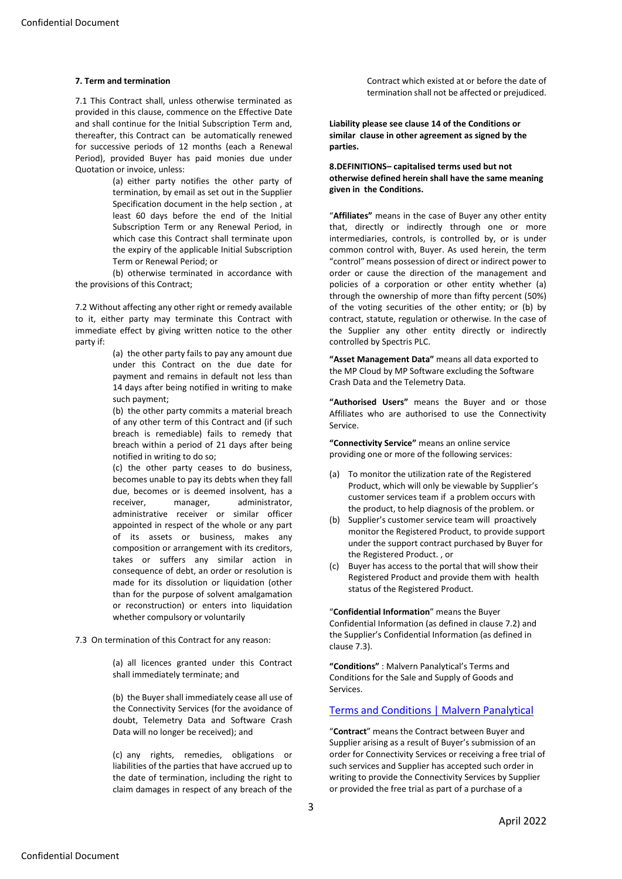#### **7. Term and termination**

7.1 This Contract shall, unless otherwise terminated as provided in this clause, commence on the Effective Date and shall continue for the Initial Subscription Term and, thereafter, this Contract can be automatically renewed for successive periods of 12 months (each a Renewal Period), provided Buyer has paid monies due under Quotation or invoice, unless:

> (a) either party notifies the other party of termination, by email as set out in the Supplier Specification document in the help section , at least 60 days before the end of the Initial Subscription Term or any Renewal Period, in which case this Contract shall terminate upon the expiry of the applicable Initial Subscription Term or Renewal Period; or

(b) otherwise terminated in accordance with the provisions of this Contract;

7.2 Without affecting any other right or remedy available to it, either party may terminate this Contract with immediate effect by giving written notice to the other party if:

> (a) the other party fails to pay any amount due under this Contract on the due date for payment and remains in default not less than 14 days after being notified in writing to make such payment;

> (b) the other party commits a material breach of any other term of this Contract and (if such breach is remediable) fails to remedy that breach within a period of 21 days after being notified in writing to do so;

> (c) the other party ceases to do business, becomes unable to pay its debts when they fall due, becomes or is deemed insolvent, has a receiver, manager, administrator, administrative receiver or similar officer appointed in respect of the whole or any part of its assets or business, makes any composition or arrangement with its creditors, takes or suffers any similar action in consequence of debt, an order or resolution is made for its dissolution or liquidation (other than for the purpose of solvent amalgamation or reconstruction) or enters into liquidation whether compulsory or voluntarily

7.3 On termination of this Contract for any reason:

(a) all licences granted under this Contract shall immediately terminate; and

(b) the Buyer shall immediately cease all use of the Connectivity Services (for the avoidance of doubt, Telemetry Data and Software Crash Data will no longer be received); and

(c) any rights, remedies, obligations or liabilities of the parties that have accrued up to the date of termination, including the right to claim damages in respect of any breach of the

Contract which existed at or before the date of termination shall not be affected or prejudiced.

**Liability please see clause 14 of the Conditions or similar clause in other agreement as signed by the parties.**

#### **8.DEFINITIONS– capitalised terms used but not otherwise defined herein shall have the same meaning given in the Conditions.**

"**Affiliates"** means in the case of Buyer any other entity that, directly or indirectly through one or more intermediaries, controls, is controlled by, or is under common control with, Buyer. As used herein, the term "control" means possession of direct or indirect power to order or cause the direction of the management and policies of a corporation or other entity whether (a) through the ownership of more than fifty percent (50%) of the voting securities of the other entity; or (b) by contract, statute, regulation or otherwise. In the case of the Supplier any other entity directly or indirectly controlled by Spectris PLC.

**"Asset Management Data"** means all data exported to the MP Cloud by MP Software excluding the Software Crash Data and the Telemetry Data.

**"Authorised Users"** means the Buyer and or those Affiliates who are authorised to use the Connectivity Service.

**"Connectivity Service"** means an online service providing one or more of the following services:

- (a) To monitor the utilization rate of the Registered Product, which will only be viewable by Supplier's customer services team if a problem occurs with the product, to help diagnosis of the problem. or
- (b) Supplier's customer service team will proactively monitor the Registered Product, to provide support under the support contract purchased by Buyer for the Registered Product. , or
- (c) Buyer has access to the portal that will show their Registered Product and provide them with health status of the Registered Product.

"**Confidential Information**" means the Buyer Confidential Information (as defined in clause 7.2) and the Supplier's Confidential Information (as defined in clause 7.3).

**"Conditions"** : Malvern Panalytical's Terms and Conditions for the Sale and Supply of Goods and Services.

# [Terms and Conditions | Malvern Panalytical](https://www.malvernpanalytical.com/en/about-us/terms-of-sale-and-service/index.html)

"**Contract**" means the Contract between Buyer and Supplier arising as a result of Buyer's submission of an order for Connectivity Services or receiving a free trial of such services and Supplier has accepted such order in writing to provide the Connectivity Services by Supplier or provided the free trial as part of a purchase of a